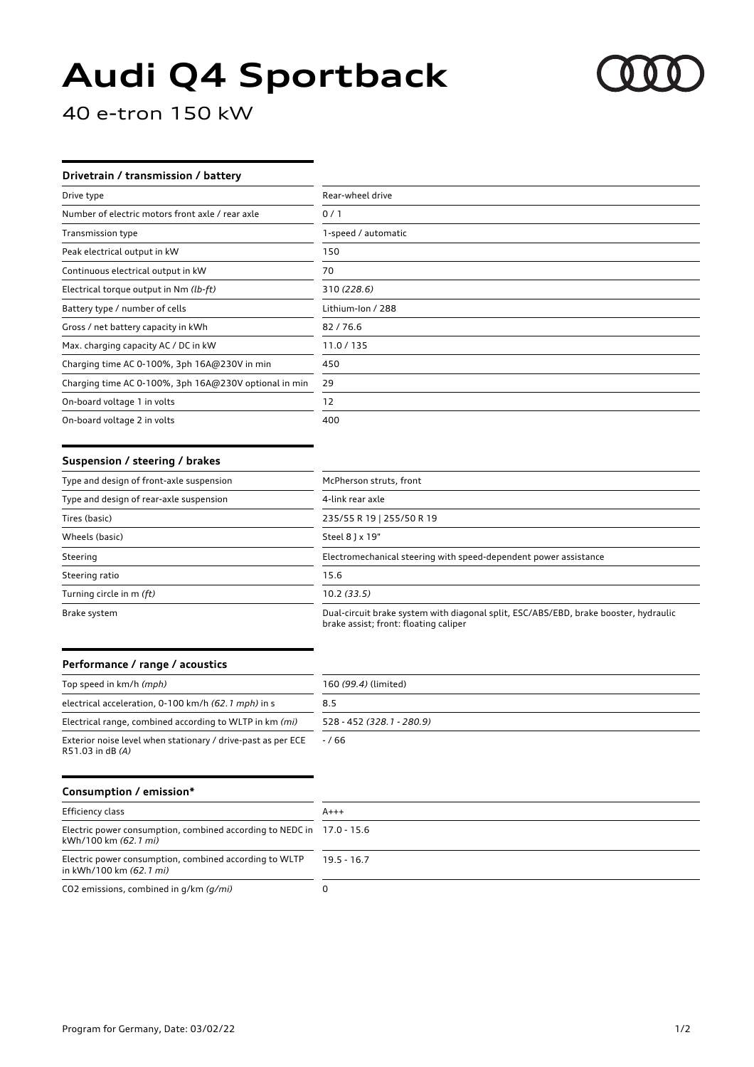# **Audi Q4 Sportback**



40 e-tron 150 kW

## **Drivetrain / transmission / battery**

| Drive type                                            | Rear-wheel drive    |
|-------------------------------------------------------|---------------------|
| Number of electric motors front axle / rear axle      | 0/1                 |
| <b>Transmission type</b>                              | 1-speed / automatic |
| Peak electrical output in kW                          | 150                 |
| Continuous electrical output in kW                    | 70                  |
| Electrical torque output in Nm (lb-ft)                | 310 (228.6)         |
| Battery type / number of cells                        | Lithium-Ion / 288   |
| Gross / net battery capacity in kWh                   | 82/76.6             |
| Max. charging capacity AC / DC in kW                  | 11.0/135            |
| Charging time AC 0-100%, 3ph 16A@230V in min          | 450                 |
| Charging time AC 0-100%, 3ph 16A@230V optional in min | 29                  |
| On-board voltage 1 in volts                           | 12                  |
| On-board voltage 2 in volts                           | 400                 |

#### **Suspension / steering / brakes**

| Type and design of front-axle suspension | McPherson struts, front                                                                                                       |
|------------------------------------------|-------------------------------------------------------------------------------------------------------------------------------|
| Type and design of rear-axle suspension  | 4-link rear axle                                                                                                              |
| Tires (basic)                            | 235/55 R 19   255/50 R 19                                                                                                     |
| Wheels (basic)                           | Steel 8 ] x 19"                                                                                                               |
| Steering                                 | Electromechanical steering with speed-dependent power assistance                                                              |
| Steering ratio                           | 15.6                                                                                                                          |
| Turning circle in m (ft)                 | 10.2(33.5)                                                                                                                    |
| Brake system                             | Dual-circuit brake system with diagonal split, ESC/ABS/EBD, brake booster, hydraulic<br>brake assist; front: floating caliper |

### **Performance / range / acoustics**

| Top speed in km/h (mph)                                                          | 160 (99.4) (limited)      |
|----------------------------------------------------------------------------------|---------------------------|
| electrical acceleration, 0-100 km/h (62.1 mph) in s                              | 8.5                       |
| Electrical range, combined according to WLTP in km (mi)                          | 528 - 452 (328.1 - 280.9) |
| Exterior noise level when stationary / drive-past as per ECE<br>R51.03 in dB (A) | $-766$                    |

## **Consumption / emission\***

| Efficiency class                                                                              | $A+++$      |
|-----------------------------------------------------------------------------------------------|-------------|
| Electric power consumption, combined according to NEDC in 17.0 - 15.6<br>kWh/100 km (62.1 mi) |             |
| Electric power consumption, combined according to WLTP<br>in kWh/100 km (62.1 mi)             | $195 - 167$ |
| CO2 emissions, combined in q/km (q/mi)                                                        |             |